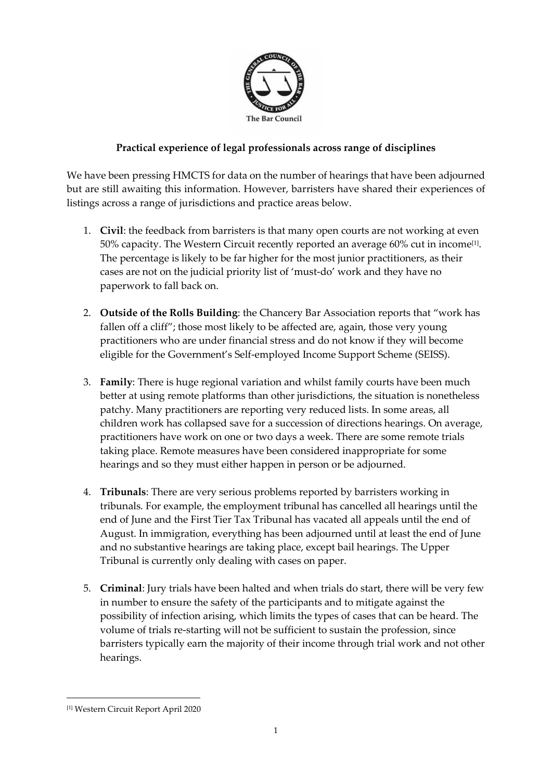

## **Practical experience of legal professionals across range of disciplines**

We have been pressing HMCTS for data on the number of hearings that have been adjourned but are still awaiting this information. However, barristers have shared their experiences of listings across a range of jurisdictions and practice areas below.

- 1. **Civil**: the feedback from barristers is that many open courts are not working at even  $50\%$  capacity. The Western Circuit recently reported an average 60% cut in income $^{[1]}$ . The percentage is likely to be far higher for the most junior practitioners, as their cases are not on the judicial priority list of 'must-do' work and they have no paperwork to fall back on.
- 2. **Outside of the Rolls Building**: the Chancery Bar Association reports that "work has fallen off a cliff"; those most likely to be affected are, again, those very young practitioners who are under financial stress and do not know if they will become eligible for the Government's Self-employed Income Support Scheme (SEISS).
- 3. **Family**: There is huge regional variation and whilst family courts have been much better at using remote platforms than other jurisdictions, the situation is nonetheless patchy. Many practitioners are reporting very reduced lists. In some areas, all children work has collapsed save for a succession of directions hearings. On average, practitioners have work on one or two days a week. There are some remote trials taking place. Remote measures have been considered inappropriate for some hearings and so they must either happen in person or be adjourned.
- 4. **Tribunals**: There are very serious problems reported by barristers working in tribunals. For example, the employment tribunal has cancelled all hearings until the end of June and the First Tier Tax Tribunal has vacated all appeals until the end of August. In immigration, everything has been adjourned until at least the end of June and no substantive hearings are taking place, except bail hearings. The Upper Tribunal is currently only dealing with cases on paper.
- 5. **Criminal**: Jury trials have been halted and when trials do start, there will be very few in number to ensure the safety of the participants and to mitigate against the possibility of infection arising, which limits the types of cases that can be heard. The volume of trials re-starting will not be sufficient to sustain the profession, since barristers typically earn the majority of their income through trial work and not other hearings.

<sup>[1]</sup> Western Circuit Report April 2020